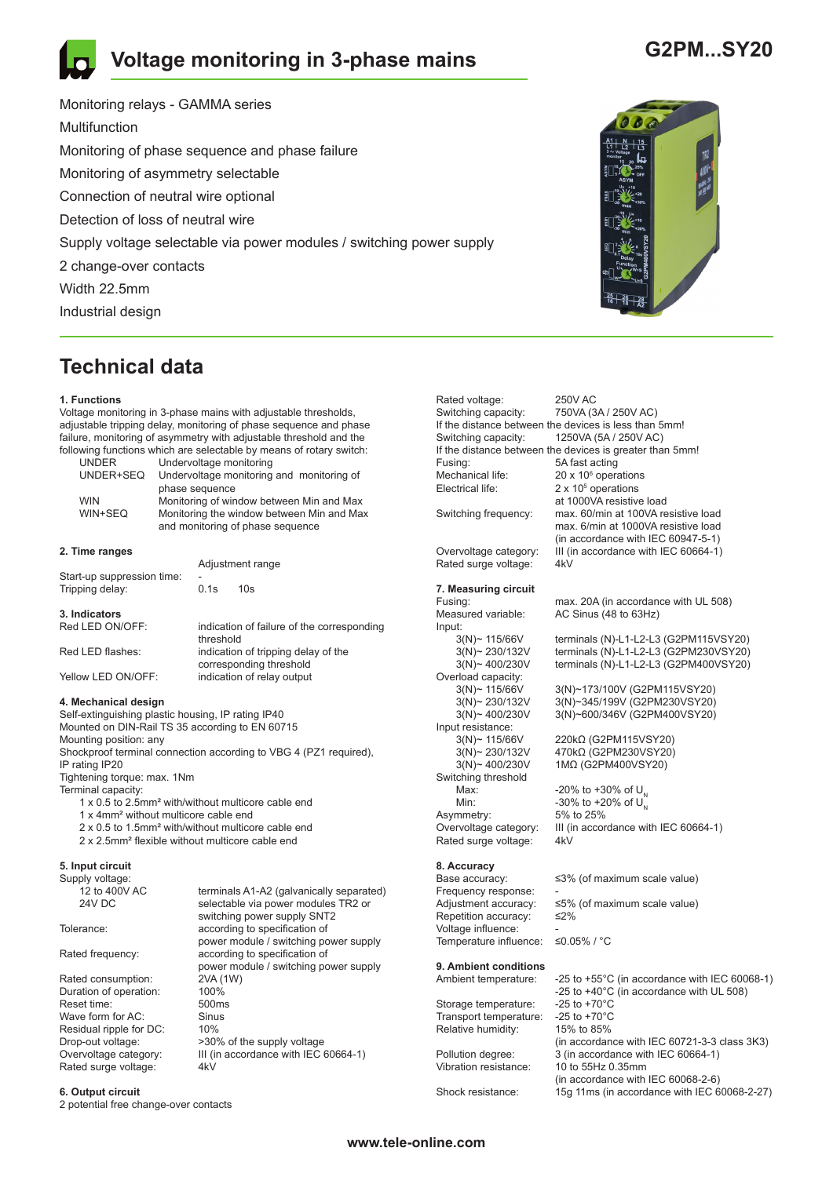# **Voltage monitoring in 3-phase mains**

# **G2PM...SY20**

Monitoring relays - GAMMA series Multifunction Monitoring of phase sequence and phase failure Monitoring of asymmetry selectable Connection of neutral wire optional Detection of loss of neutral wire Supply voltage selectable via power modules / switching power supply 2 change-over contacts Width 22.5mm Industrial design

# **Technical data**

#### **1. Functions**

Voltage monitoring in 3-phase mains with adjustable thresholds, adjustable tripping delay, monitoring of phase sequence and phase failure, monitoring of asymmetry with adjustable threshold and the following functions which are selectable by means of rotary switch:

|                                                                                                                                                                                                                                                                                                                       | <b>UNDER</b> | Undervoltage monitoring                   |  |  |
|-----------------------------------------------------------------------------------------------------------------------------------------------------------------------------------------------------------------------------------------------------------------------------------------------------------------------|--------------|-------------------------------------------|--|--|
|                                                                                                                                                                                                                                                                                                                       | UNDER+SEQ    | Undervoltage monitoring and monitoring of |  |  |
|                                                                                                                                                                                                                                                                                                                       |              | phase sequence                            |  |  |
|                                                                                                                                                                                                                                                                                                                       | <b>WIN</b>   | Monitoring of window between Min and Max  |  |  |
|                                                                                                                                                                                                                                                                                                                       | WIN+SEQ      | Monitoring the window between Min and Max |  |  |
|                                                                                                                                                                                                                                                                                                                       |              | and monitoring of phase sequence          |  |  |
|                                                                                                                                                                                                                                                                                                                       |              |                                           |  |  |
| $0.7$ $\frac{1}{2}$ $\frac{1}{2}$ $\frac{1}{2}$ $\frac{1}{2}$ $\frac{1}{2}$ $\frac{1}{2}$ $\frac{1}{2}$ $\frac{1}{2}$ $\frac{1}{2}$ $\frac{1}{2}$ $\frac{1}{2}$ $\frac{1}{2}$ $\frac{1}{2}$ $\frac{1}{2}$ $\frac{1}{2}$ $\frac{1}{2}$ $\frac{1}{2}$ $\frac{1}{2}$ $\frac{1}{2}$ $\frac{1}{2}$ $\frac{1}{2}$ $\frac{1$ |              |                                           |  |  |

## **2. Time ranges**

| Start-up suppression time: | -                                                              | Adjustment range           |  |
|----------------------------|----------------------------------------------------------------|----------------------------|--|
| Tripping delay:            | 0.1s                                                           | 10s                        |  |
| 3. Indicators              | indication of failure of the corresponding                     |                            |  |
| Red LED ON/OFF:            | threshold                                                      |                            |  |
| Red LED flashes:           | indication of tripping delay of the<br>corresponding threshold |                            |  |
| Yellow LED ON/OFF:         |                                                                | indication of relay output |  |

### **4. Mechanical design**

Self-extinguishing plastic housing, IP rating IP40 Mounted on DIN-Rail TS 35 according to EN 60715 Mounting position: any Shockproof terminal connection according to VBG 4 (PZ1 required), IP rating IP20 Tightening torque: max. 1Nm Terminal capacity: 1 x 0.5 to 2.5mm² with/without multicore cable end

- 
- 1 x 4mm² without multicore cable end
- 2 x 0.5 to 1.5mm² with/without multicore cable end
- 2 x 2.5mm² flexible without multicore cable end

## **5. Input circuit**

Supply voltage:<br>12 to 400V AC

Rated consumption: 2VA (1W)<br>Duration of operation: 100% Duration of operation: 100%<br>Reset time: 500ms Reset time: 500m<br>Wave form for AC: Sinus Wave form for AC: Sinu<br>Residual ripple for DC: 10% Residual ripple for DC: Rated surge voltage:

12 to 400V AC terminals A1-A2 (galvanically separated)<br>
24V DC selectable via nower modules TR2 or selectable via power modules TR2 or switching power supply SNT2<br>Tolerance: exercise according to specification of according to specification of power module / switching power supply<br>Rated frequency:<br>according to specification of according to specification of power module / switching power supply Drop-out voltage:  $>30\%$  of the supply voltage<br>Overvoltage category: III (in accordance with IEC III (in accordance with IEC 60664-1)<br> $4kV$ 

### **6. Output circuit**

2 potential free change-over contacts



Fusing: 5A fast acting  $20 \times 10^6$  operations  $2 \times 10^5$  operations at 1000VA resistive load<br>Switching frequency: max. 60/min at 100VA re max. 60/min at 100VA resistive load max. 6/min at 1000VA resistive load (in accordance with IEC 60947-5-1) Overvoltage category: III (in accordance with IEC 60664-1) Rated surge voltage: 4kV **7. Measuring circuit**

750VA (3A / 250V AC)

Rated voltage: 250V AC<br>Switching capacity: 750VA (3

Mechanical life:

Input:<br> $3(N)$  ~ 115/66V

Overload capacity:<br>3(N)~ 115/66V

Input resistance:<br>3(N)~ 115/66V

Switching threshold

Asymmetry:<br>Overvoltage category:

Electrical life:

If the distance between the devices is less than 5mm! Switching capacity: 1250VA (5A / 250V AC) If the distance between the devices is greater than 5mm!

Fusing: The max. 20A (in accordance with UL 508)<br>Measured variable: AC Sinus (48 to 63Hz) AC Sinus (48 to 63Hz)

3(N)~ 115/66V terminals (N)-L1-L2-L3 (G2PM115VSY20)<br>3(N)~ 230/132V terminals (N)-L1-L2-L3 (G2PM230VSY20)<br>3(N)~ 400/230V terminals (N)-L1-L2-L3 (G2PM400VSY20) terminals (N)-L1-L2-L3 (G2PM230VSY20) terminals (N)-L1-L2-L3 (G2PM400VSY20)

3(N)~ 115/66V 3(N)~173/100V (G2PM115VSY20)<br>3(N)~ 230/132V 3(N)~345/199V (G2PM230VSY20) 3(N)~ 230/132V 3(N)~345/199V (G2PM230VSY20) 3(N)~ 400/230V 3(N)~600/346V (G2PM400VSY20)

3(N)~ 115/66V 220kΩ (G2PM115VSY20)<br>3(N)~ 230/132V 470kΩ (G2PM230VSY20) 3(N)~ 230/132V 470kΩ (G2PM230VSY20)<br>3(N)~ 400/230V 1MΩ (G2PM400VSY20) 1ΜΩ (G2PM400VSY20)

Max:  $-20\% \text{ to } +30\% \text{ of } U_{\text{N}}$ <br>Min:  $-30\% \text{ to } +20\% \text{ of } U_{\text{N}}$ -30% to +20% of  $U_{N}^{T}$ <br>5% to 25% III (in accordance with IEC 60664-1) Rated surge voltage: 4kV

# **8. Accuracy**

Frequency response:<br>Adiustment accuracy: Repetition accuracy: ≤2% Voltage influence:  $\leq 0.05\% / \degree C$ Temperature influence:

### **9. Ambient conditions**

Storage temperature: -25 to +70°C<br>Transport temperature: -25 to +70°C Transport temperature:

 $\leq$ 3% (of maximum scale value)

≤5% (of maximum scale value)

Ambient temperature: -25 to +55°C (in accordance with IEC 60068-1) -25 to +40°C (in accordance with UL 508)<br>-25 to +70°C Relative humidity: 15% to 85% (in accordance with IEC 60721-3-3 class 3K3)<br>Pollution degree: 3 (in accordance with IEC 60664-1) Pollution degree: 3 (in accordance with IEC 60664-1)<br>Vibration resistance: 10 to 55Hz 0.35mm 10 to 55Hz 0.35mm (in accordance with IEC 60068-2-6)<br>Shock resistance: 150 11ms (in accordance with IEC 6 15g 11ms (in accordance with IEC 60068-2-27)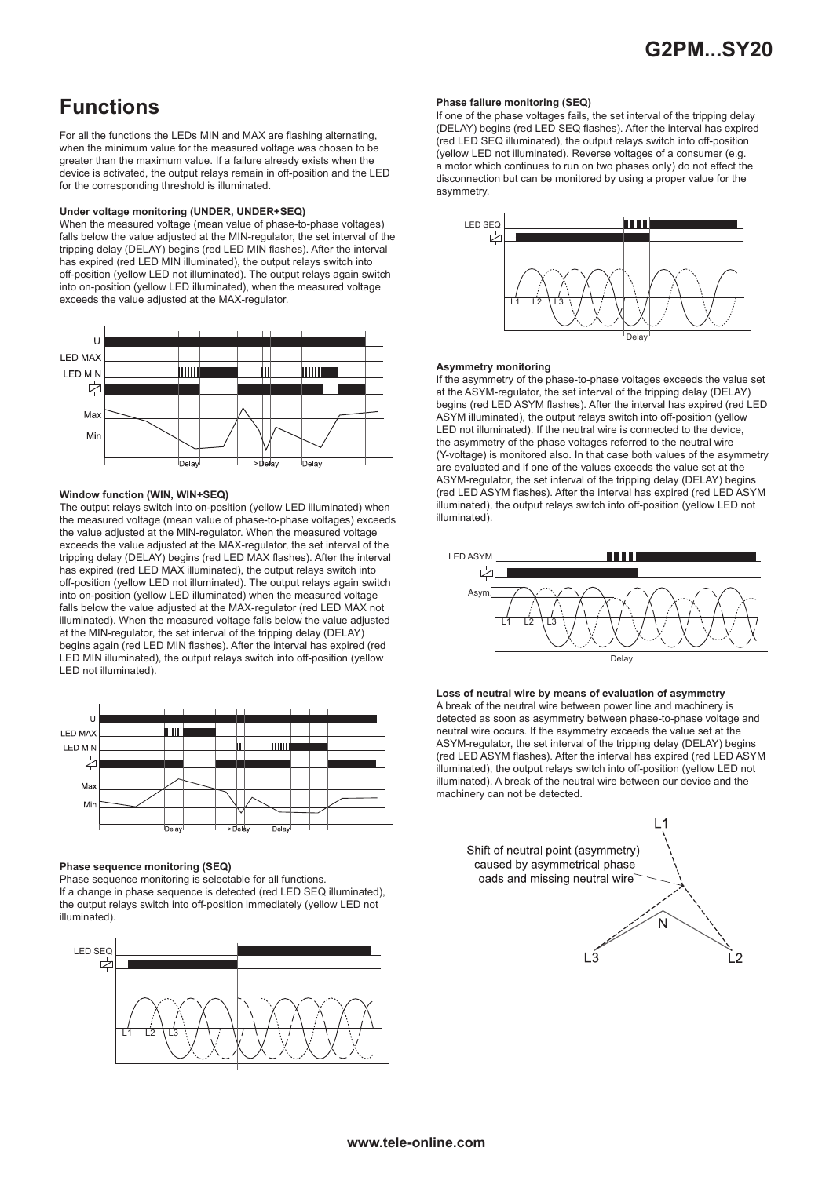# **Functions**

For all the functions the LEDs MIN and MAX are flashing alternating, when the minimum value for the measured voltage was chosen to be greater than the maximum value. If a failure already exists when the device is activated, the output relays remain in off-position and the LED for the corresponding threshold is illuminated.

### **Under voltage monitoring (UNDER, UNDER+SEQ)**

When the measured voltage (mean value of phase-to-phase voltages) falls below the value adjusted at the MIN-regulator, the set interval of the tripping delay (DELAY) begins (red LED MIN flashes). After the interval has expired (red LED MIN illuminated), the output relays switch into off-position (yellow LED not illuminated). The output relays again switch into on-position (yellow LED illuminated), when the measured voltage exceeds the value adjusted at the MAX-regulator.



### **Window function (WIN, WIN+SEQ)**

The output relays switch into on-position (yellow LED illuminated) when the measured voltage (mean value of phase-to-phase voltages) exceeds the value adjusted at the MIN-regulator. When the measured voltage exceeds the value adjusted at the MAX-regulator, the set interval of the tripping delay (DELAY) begins (red LED MAX flashes). After the interval has expired (red LED MAX illuminated), the output relays switch into off-position (yellow LED not illuminated). The output relays again switch into on-position (yellow LED illuminated) when the measured voltage falls below the value adjusted at the MAX-regulator (red LED MAX not illuminated). When the measured voltage falls below the value adjusted at the MIN-regulator, the set interval of the tripping delay (DELAY) begins again (red LED MIN flashes). After the interval has expired (red LED MIN illuminated), the output relays switch into off-position (yellow LED not illuminated).



### **Phase sequence monitoring (SEQ)**

Phase sequence monitoring is selectable for all functions. If a change in phase sequence is detected (red LED SEQ illuminated), the output relays switch into off-position immediately (yellow LED not illuminated).



### **Phase failure monitoring (SEQ)**

If one of the phase voltages fails, the set interval of the tripping delay (DELAY) begins (red LED SEQ flashes). After the interval has expired (red LED SEQ illuminated), the output relays switch into off-position (yellow LED not illuminated). Reverse voltages of a consumer (e.g. a motor which continues to run on two phases only) do not effect the disconnection but can be monitored by using a proper value for the asymmetry.



### **Asymmetry monitoring**

If the asymmetry of the phase-to-phase voltages exceeds the value set at the ASYM-regulator, the set interval of the tripping delay (DELAY) begins (red LED ASYM flashes). After the interval has expired (red LED ASYM illuminated), the output relays switch into off-position (yellow LED not illuminated). If the neutral wire is connected to the device, the asymmetry of the phase voltages referred to the neutral wire (Y-voltage) is monitored also. In that case both values of the asymmetry are evaluated and if one of the values exceeds the value set at the ASYM-regulator, the set interval of the tripping delay (DELAY) begins (red LED ASYM flashes). After the interval has expired (red LED ASYM illuminated), the output relays switch into off-position (yellow LED not illuminated).



**Loss of neutral wire by means of evaluation of asymmetry** A break of the neutral wire between power line and machinery is detected as soon as asymmetry between phase-to-phase voltage and neutral wire occurs. If the asymmetry exceeds the value set at the ASYM-regulator, the set interval of the tripping delay (DELAY) begins (red LED ASYM flashes). After the interval has expired (red LED ASYM illuminated), the output relays switch into off-position (yellow LED not illuminated). A break of the neutral wire between our device and the machinery can not be detected.